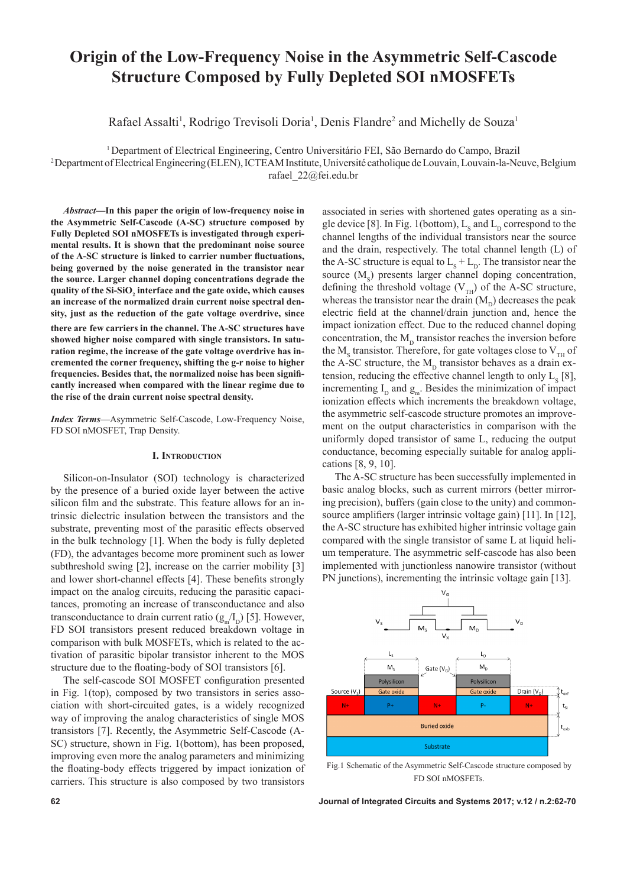# Origin of the Low-Frequency Noise in the Asymmetric Self-Cascode **Structure Composed by Fully Depleted SOI nMOSFETs**

Rafael Assalti<sup>1</sup>, Rodrigo Trevisoli Doria<sup>1</sup>, Denis Flandre<sup>2</sup> and Michelly de Souza<sup>1</sup>

1 Department of Electrical Engineering, Centro Universitário FEI, São Bernardo do Campo, Brazil

2 Department of Electrical Engineering (ELEN), ICTEAM Institute, Université catholique de Louvain, Louvain-la-Neuve, Belgium

rafael\_22@fei.edu.br

*Abstract***—In this paper the origin of low-frequency noise in the Asymmetric Self-Cascode (A-SC) structure composed by Fully Depleted SOI nMOSFETs is investigated through experimental results. It is shown that the predominant noise source of the A-SC structure is linked to carrier number fluctuations, being governed by the noise generated in the transistor near the source. Larger channel doping concentrations degrade the**  quality of the Si-SiO<sub>2</sub> interface and the gate oxide, which causes **an increase of the normalized drain current noise spectral density, just as the reduction of the gate voltage overdrive, since** 

**there are few carriers in the channel. The A-SC structures have showed higher noise compared with single transistors. In saturation regime, the increase of the gate voltage overdrive has incremented the corner frequency, shifting the g-r noise to higher frequencies. Besides that, the normalized noise has been significantly increased when compared with the linear regime due to the rise of the drain current noise spectral density.**

*Index Terms*—Asymmetric Self-Cascode, Low-Frequency Noise, FD SOI nMOSFET, Trap Density.

## **I. Introduction**

Silicon-on-Insulator (SOI) technology is characterized by the presence of a buried oxide layer between the active silicon film and the substrate. This feature allows for an intrinsic dielectric insulation between the transistors and the substrate, preventing most of the parasitic effects observed in the bulk technology [1]. When the body is fully depleted (FD), the advantages become more prominent such as lower subthreshold swing [2], increase on the carrier mobility [3] and lower short-channel effects [4]. These benefits strongly impact on the analog circuits, reducing the parasitic capacitances, promoting an increase of transconductance and also transconductance to drain current ratio  $(g_m/I_p)$  [5]. However, FD SOI transistors present reduced breakdown voltage in comparison with bulk MOSFETs, which is related to the activation of parasitic bipolar transistor inherent to the MOS structure due to the floating-body of SOI transistors [6].

The self-cascode SOI MOSFET configuration presented in Fig. 1(top), composed by two transistors in series association with short-circuited gates, is a widely recognized way of improving the analog characteristics of single MOS transistors [7]. Recently, the Asymmetric Self-Cascode (A-SC) structure, shown in Fig. 1(bottom), has been proposed, improving even more the analog parameters and minimizing the floating-body effects triggered by impact ionization of carriers. This structure is also composed by two transistors associated in series with shortened gates operating as a single device [8]. In Fig. 1(bottom),  $L_s$  and  $L_p$  correspond to the channel lengths of the individual transistors near the source and the drain, respectively. The total channel length (L) of the A-SC structure is equal to  $L_s + L_p$ . The transistor near the source  $(M<sub>s</sub>)$  presents larger channel doping concentration, defining the threshold voltage  $(V_{TH})$  of the A-SC structure, whereas the transistor near the drain  $(M<sub>p</sub>)$  decreases the peak electric field at the channel/drain junction and, hence the impact ionization effect. Due to the reduced channel doping concentration, the  $M<sub>D</sub>$  transistor reaches the inversion before the  $M_s$  transistor. Therefore, for gate voltages close to  $V_{TH}$  of the A-SC structure, the  $M<sub>D</sub>$  transistor behaves as a drain extension, reducing the effective channel length to only  $L_s$  [8], incrementing  $I_p$  and  $g_m$ . Besides the minimization of impact ionization effects which increments the breakdown voltage, the asymmetric self-cascode structure promotes an improvement on the output characteristics in comparison with the uniformly doped transistor of same L, reducing the output conductance, becoming especially suitable for analog applications [8, 9, 10].

The A-SC structure has been successfully implemented in basic analog blocks, such as current mirrors (better mirroring precision), buffers (gain close to the unity) and commonsource amplifiers (larger intrinsic voltage gain) [11]. In [12], the A-SC structure has exhibited higher intrinsic voltage gain compared with the single transistor of same L at liquid helium temperature. The asymmetric self-cascode has also been implemented with junctionless nanowire transistor (without PN junctions), incrementing the intrinsic voltage gain [13].



Fig.1 Schematic of the Asymmetric Self-Cascode structure composed by FD SOI nMOSFETs.

**62 Journal of Integrated Circuits and Systems 2017; v.12 / n.2:62-70**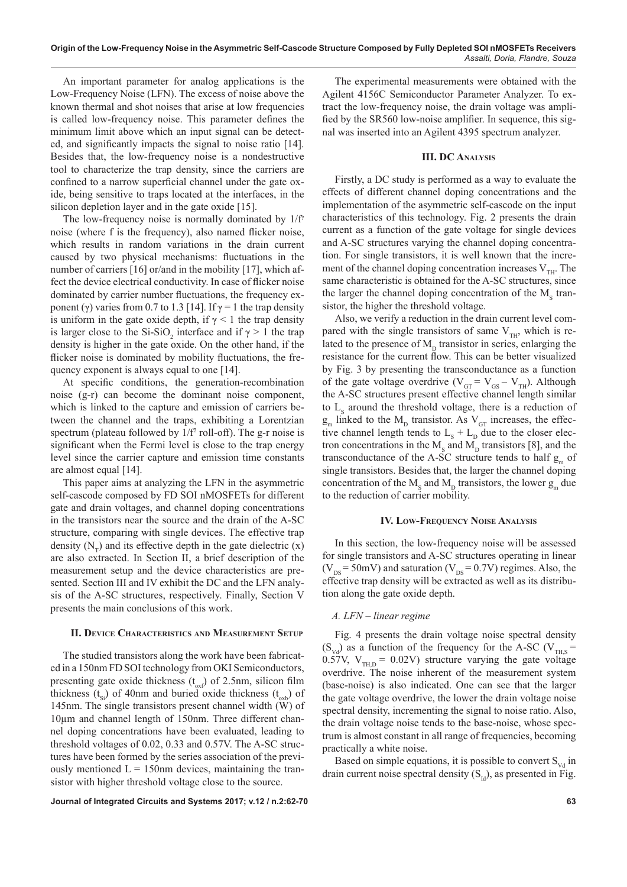An important parameter for analog applications is the Low-Frequency Noise (LFN). The excess of noise above the known thermal and shot noises that arise at low frequencies is called low-frequency noise. This parameter defines the minimum limit above which an input signal can be detected, and significantly impacts the signal to noise ratio [14]. Besides that, the low-frequency noise is a nondestructive tool to characterize the trap density, since the carriers are confined to a narrow superficial channel under the gate oxide, being sensitive to traps located at the interfaces, in the silicon depletion layer and in the gate oxide [15].

The low-frequency noise is normally dominated by  $1/f<sup>\gamma</sup>$ noise (where f is the frequency), also named flicker noise, which results in random variations in the drain current caused by two physical mechanisms: fluctuations in the number of carriers [16] or/and in the mobility [17], which affect the device electrical conductivity. In case of flicker noise dominated by carrier number fluctuations, the frequency exponent (γ) varies from 0.7 to 1.3 [14]. If  $\gamma = 1$  the trap density is uniform in the gate oxide depth, if  $\gamma$  < 1 the trap density is larger close to the Si-SiO<sub>2</sub> interface and if  $\gamma > 1$  the trap density is higher in the gate oxide. On the other hand, if the flicker noise is dominated by mobility fluctuations, the frequency exponent is always equal to one [14].

At specific conditions, the generation-recombination noise (g-r) can become the dominant noise component, which is linked to the capture and emission of carriers between the channel and the traps, exhibiting a Lorentzian spectrum (plateau followed by  $1/f^2$  roll-off). The g-r noise is significant when the Fermi level is close to the trap energy level since the carrier capture and emission time constants are almost equal [14].

This paper aims at analyzing the LFN in the asymmetric self-cascode composed by FD SOI nMOSFETs for different gate and drain voltages, and channel doping concentrations in the transistors near the source and the drain of the A-SC structure, comparing with single devices. The effective trap density  $(N_T)$  and its effective depth in the gate dielectric  $(x)$ are also extracted. In Section II, a brief description of the measurement setup and the device characteristics are presented. Section III and IV exhibit the DC and the LFN analysis of the A-SC structures, respectively. Finally, Section V presents the main conclusions of this work.

## **II. Device Characteristics and Measurement Setup**

The studied transistors along the work have been fabricated in a 150nm FD SOI technology from OKI Semiconductors, presenting gate oxide thickness  $(t_{\text{ov}})$  of 2.5nm, silicon film thickness ( $t_{\rm sc}$ ) of 40nm and buried oxide thickness ( $t_{\rm sc}$ ) of 145nm. The single transistors present channel width (W) of 10µm and channel length of 150nm. Three different channel doping concentrations have been evaluated, leading to threshold voltages of 0.02, 0.33 and 0.57V. The A-SC structures have been formed by the series association of the previously mentioned  $L = 150$ nm devices, maintaining the transistor with higher threshold voltage close to the source.

**Journal of Integrated Circuits and Systems 2017; v.12 / n.2:62-70 63**

The experimental measurements were obtained with the Agilent 4156C Semiconductor Parameter Analyzer. To extract the low-frequency noise, the drain voltage was amplified by the SR560 low-noise amplifier. In sequence, this signal was inserted into an Agilent 4395 spectrum analyzer.

# **III. DC Analysis**

Firstly, a DC study is performed as a way to evaluate the effects of different channel doping concentrations and the implementation of the asymmetric self-cascode on the input characteristics of this technology. Fig. 2 presents the drain current as a function of the gate voltage for single devices and A-SC structures varying the channel doping concentration. For single transistors, it is well known that the increment of the channel doping concentration increases  $V_{\text{th}}$ . The same characteristic is obtained for the A-SC structures, since the larger the channel doping concentration of the  $M_s$  transistor, the higher the threshold voltage.

Also, we verify a reduction in the drain current level compared with the single transistors of same  $V_{TH}$ , which is related to the presence of  $M<sub>D</sub>$  transistor in series, enlarging the resistance for the current flow. This can be better visualized by Fig. 3 by presenting the transconductance as a function of the gate voltage overdrive ( $V_{GT} = V_{GS} - V_{TH}$ ). Although the A-SC structures present effective channel length similar to  $L<sub>s</sub>$  around the threshold voltage, there is a reduction of  $g_m$  linked to the  $M_D$  transistor. As  $V_{GT}$  increases, the effective channel length tends to  $L_s + L_p$  due to the closer electron concentrations in the  $M_s$  and  $M_p$  transistors [8], and the transconductance of the A-SC structure tends to half  $g_{m}$  of single transistors. Besides that, the larger the channel doping concentration of the  $M_s$  and  $M_p$  transistors, the lower  $g_m$  due to the reduction of carrier mobility.

## **IV. Low-Frequency Noise Analysis**

In this section, the low-frequency noise will be assessed for single transistors and A-SC structures operating in linear ( $V_{DS}$  = 50mV) and saturation ( $V_{DS}$  = 0.7V) regimes. Also, the effective trap density will be extracted as well as its distribution along the gate oxide depth.

# *A. LFN – linear regime*

Fig. 4 presents the drain voltage noise spectral density  $(S_{\text{Vd}})$  as a function of the frequency for the A-SC (V<sub>THS</sub> = 0.57V,  $V_{THD} = 0.02V$ ) structure varying the gate voltage overdrive. The noise inherent of the measurement system (base-noise) is also indicated. One can see that the larger the gate voltage overdrive, the lower the drain voltage noise spectral density, incrementing the signal to noise ratio. Also, the drain voltage noise tends to the base-noise, whose spectrum is almost constant in all range of frequencies, becoming practically a white noise.

Based on simple equations, it is possible to convert  $S_{\rm{Vd}}$  in drain current noise spectral density  $(S<sub>td</sub>)$ , as presented in Fig.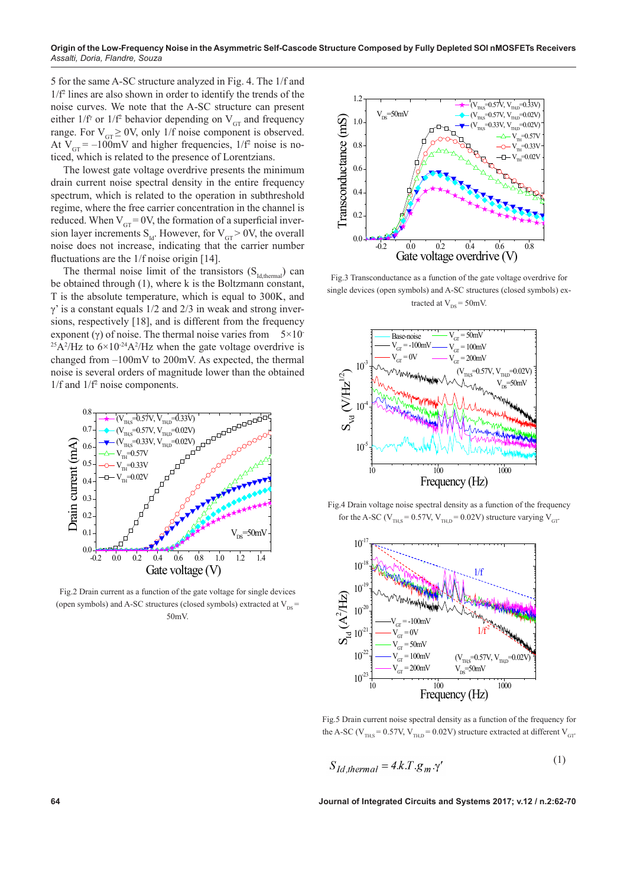5 for the same A-SC structure analyzed in Fig. 4. The 1/f and 1/f2 lines are also shown in order to identify the trends of the noise curves. We note that the A-SC structure can present either  $1/f^{\gamma}$  or  $1/f^2$  behavior depending on  $V_{GT}$  and frequency range. For  $V_{GT} \ge 0V$ , only 1/f noise component is observed. At  $V_{GT} = -100 \text{mV}$  and higher frequencies,  $1/f^2$  noise is noticed, which is related to the presence of Lorentzians.

The lowest gate voltage overdrive presents the minimum drain current noise spectral density in the entire frequency spectrum, which is related to the operation in subthreshold regime, where the free carrier concentration in the channel is reduced. When  $V_{GT} = 0V$ , the formation of a superficial inversion layer increments  $S_{\text{Id}}$ . However, for  $V_{\text{GT}} > 0$ V, the overall noise does not increase, indicating that the carrier number fluctuations are the 1/f noise origin [14].

The thermal noise limit of the transistors  $(S<sub>Id,thermal</sub>)$  can be obtained through (1), where k is the Boltzmann constant, T is the absolute temperature, which is equal to 300K, and  $\gamma$ ' is a constant equals 1/2 and 2/3 in weak and strong inversions, respectively [18], and is different from the frequency exponent (γ) of noise. The thermal noise varies from  $5 \times 10^{-1}$ <sup>25</sup>A<sup>2</sup>/Hz to  $6 \times 10^{-24}$ A<sup>2</sup>/Hz when the gate voltage overdrive is changed from –100mV to 200mV. As expected, the thermal noise is several orders of magnitude lower than the obtained 1/f and 1/f2 noise components.



Fig.2 Drain current as a function of the gate voltage for single devices (open symbols) and A-SC structures (closed symbols) extracted at  $V_{DS}$  = 50mV.



Fig.3 Transconductance as a function of the gate voltage overdrive for single devices (open symbols) and A-SC structures (closed symbols) extracted at  $V_{DS} = 50$ mV.



Fig.4 Drain voltage noise spectral density as a function of the frequency for the A-SC ( $V_{THS} = 0.57V$ ,  $V_{THD} = 0.02V$ ) structure varying  $V_{GT}$ .



Fig.5 Drain current noise spectral density as a function of the frequency for the A-SC ( $V_{\text{THS}}$  = 0.57V,  $V_{\text{THD}}$  = 0.02V) structure extracted at different  $V_{\text{GT}}$ 

$$
S_{Id.thermal} = 4.k.T.g_m.\gamma'
$$
 (1)

**64 Journal of Integrated Circuits and Systems 2017; v.12 / n.2:62-70**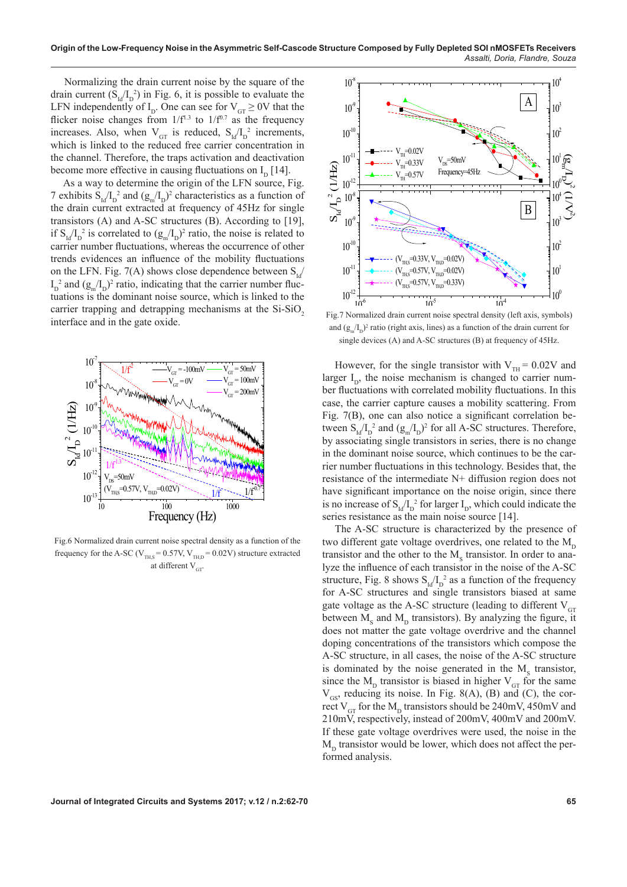Normalizing the drain current noise by the square of the drain current  $(S_{\text{Id}}/I_{\text{D}}^2)$  in Fig. 6, it is possible to evaluate the LFN independently of  $I_D$ . One can see for  $V_{GT} \ge 0$ V that the flicker noise changes from  $1/f<sup>1.3</sup>$  to  $1/f<sup>0.7</sup>$  as the frequency increases. Also, when  $V_{GT}$  is reduced,  $S_{Id}/I_D^2$  increments, which is linked to the reduced free carrier concentration in the channel. Therefore, the traps activation and deactivation become more effective in causing fluctuations on  $I_p$  [14].

As a way to determine the origin of the LFN source, Fig. 7 exhibits  $S_{\text{Id}}/I_D^2$  and  $(g_m/I_D)^2$  characteristics as a function of the drain current extracted at frequency of 45Hz for single transistors (A) and A-SC structures (B). According to [19], if  $S_{\text{Id}}/I_{\text{D}}^2$  is correlated to  $(g_{\text{m}}/I_{\text{D}})^2$  ratio, the noise is related to carrier number fluctuations, whereas the occurrence of other trends evidences an influence of the mobility fluctuations on the LFN. Fig. 7(A) shows close dependence between  $S_{i,j}$  $I_{D}^2$  and  $(g_{m}/I_{D})^2$  ratio, indicating that the carrier number fluctuations is the dominant noise source, which is linked to the carrier trapping and detrapping mechanisms at the  $Si-SiO<sub>2</sub>$ interface and in the gate oxide.



Fig.6 Normalized drain current noise spectral density as a function of the frequency for the A-SC ( $V_{TH,S} = 0.57V$ ,  $V_{TH,D} = 0.02V$ ) structure extracted at different  $V_{GT}$ 



Fig.7 Normalized drain current noise spectral density (left axis, symbols) and  $(g_m/I_p)^2$  ratio (right axis, lines) as a function of the drain current for single devices (A) and A-SC structures (B) at frequency of 45Hz.

However, for the single transistor with  $V_{TH} = 0.02V$  and larger  $I_{\text{D}}$ , the noise mechanism is changed to carrier number fluctuations with correlated mobility fluctuations. In this case, the carrier capture causes a mobility scattering. From Fig. 7(B), one can also notice a significant correlation between  $S_{\text{Id}}/I_{\text{D}}^2$  and  $(g_{\text{m}}/I_{\text{D}})^2$  for all A-SC structures. Therefore, by associating single transistors in series, there is no change in the dominant noise source, which continues to be the carrier number fluctuations in this technology. Besides that, the resistance of the intermediate N+ diffusion region does not have significant importance on the noise origin, since there is no increase of  $S_{\text{Id}}/I_{\text{D}}^2$  for larger  $I_{\text{D}}$ , which could indicate the series resistance as the main noise source [14].

The A-SC structure is characterized by the presence of two different gate voltage overdrives, one related to the  $M_{D}$ transistor and the other to the  $M<sub>s</sub>$  transistor. In order to analyze the influence of each transistor in the noise of the A-SC structure, Fig. 8 shows  $S_{Id}/I_D^2$  as a function of the frequency for A-SC structures and single transistors biased at same gate voltage as the A-SC structure (leading to different  $V_{\text{GT}}$ between  $M_s$  and  $M_p$  transistors). By analyzing the figure, it does not matter the gate voltage overdrive and the channel doping concentrations of the transistors which compose the A-SC structure, in all cases, the noise of the A-SC structure is dominated by the noise generated in the  $M_s$  transistor, since the  $M_{D}$  transistor is biased in higher  $V_{GT}$  for the same  $V_{GS}$ , reducing its noise. In Fig. 8(A), (B) and (C), the correct V<sub>GT</sub> for the M<sub>D</sub> transistors should be 240mV, 450mV and 210mV, respectively, instead of 200mV, 400mV and 200mV. If these gate voltage overdrives were used, the noise in the  $M<sub>p</sub>$  transistor would be lower, which does not affect the performed analysis.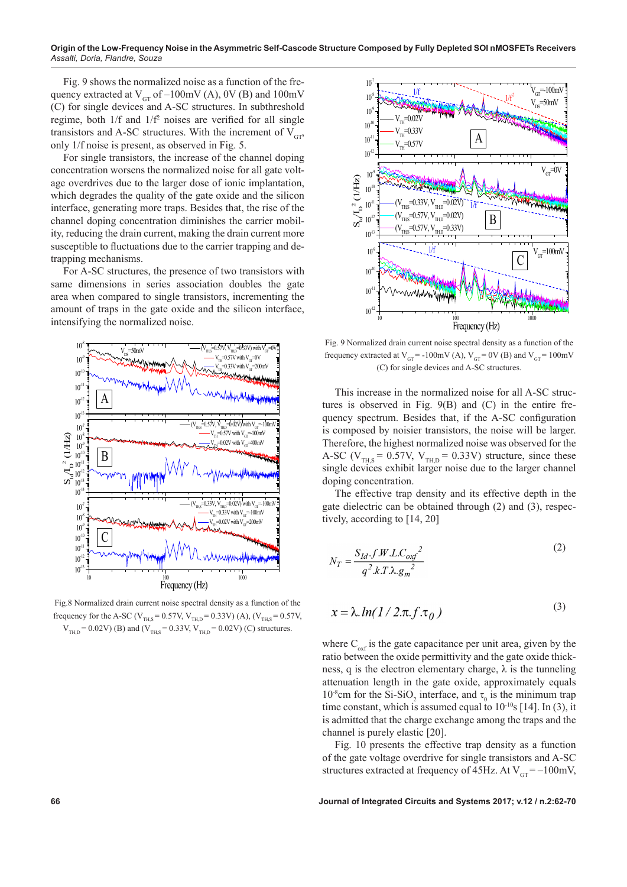Fig. 9 shows the normalized noise as a function of the frequency extracted at  $V_{GT}$  of  $-100mV$  (A), 0V (B) and 100mV (C) for single devices and A-SC structures. In subthreshold regime, both  $1/f$  and  $1/f<sup>2</sup>$  noises are verified for all single transistors and A-SC structures. With the increment of  $V_{\text{CP}}$ only 1/f noise is present, as observed in Fig. 5.

For single transistors, the increase of the channel doping concentration worsens the normalized noise for all gate voltage overdrives due to the larger dose of ionic implantation, which degrades the quality of the gate oxide and the silicon interface, generating more traps. Besides that, the rise of the channel doping concentration diminishes the carrier mobility, reducing the drain current, making the drain current more susceptible to fluctuations due to the carrier trapping and detrapping mechanisms.

For A-SC structures, the presence of two transistors with same dimensions in series association doubles the gate area when compared to single transistors, incrementing the amount of traps in the gate oxide and the silicon interface, intensifying the normalized noise.



Fig.8 Normalized drain current noise spectral density as a function of the frequency for the A-SC ( $V_{\text{THS}} = 0.57V$ ,  $V_{\text{THD}} = 0.33V$ ) (A), ( $V_{\text{THS}} = 0.57V$ ,  $V_{THD} = 0.02V$ ) (B) and ( $V_{THS} = 0.33V$ ,  $V_{THD} = 0.02V$ ) (C) structures.



Fig. 9 Normalized drain current noise spectral density as a function of the frequency extracted at  $V_{GT}$  = -100mV (A),  $V_{GT}$  = 0V (B) and  $V_{GT}$  = 100mV (C) for single devices and A-SC structures.

This increase in the normalized noise for all A-SC structures is observed in Fig. 9(B) and (C) in the entire frequency spectrum. Besides that, if the A-SC configuration is composed by noisier transistors, the noise will be larger. Therefore, the highest normalized noise was observed for the A-SC ( $V_{THS} = 0.57V$ ,  $V_{THD} = 0.33V$ ) structure, since these single devices exhibit larger noise due to the larger channel doping concentration.

The effective trap density and its effective depth in the gate dielectric can be obtained through (2) and (3), respectively, according to [14, 20]

$$
N_T = \frac{S_{Id} \cdot f.W.L.C_{oxf}^2}{q^2.k.T.\lambda.g_m^2}
$$
 (2)

$$
x = \lambda \cdot ln(1/2\pi f \cdot \tau_0)
$$
 (3)

where  $C_{\text{out}}$  is the gate capacitance per unit area, given by the ratio between the oxide permittivity and the gate oxide thickness, q is the electron elementary charge,  $\lambda$  is the tunneling attenuation length in the gate oxide, approximately equals 10<sup>-8</sup>cm for the Si-SiO<sub>2</sub> interface, and  $\tau_0$  is the minimum trap time constant, which is assumed equal to  $10^{-10}$ s [14]. In (3), it is admitted that the charge exchange among the traps and the channel is purely elastic [20].

Fig. 10 presents the effective trap density as a function of the gate voltage overdrive for single transistors and A-SC structures extracted at frequency of 45Hz. At  $V_{GT} = -100$ mV,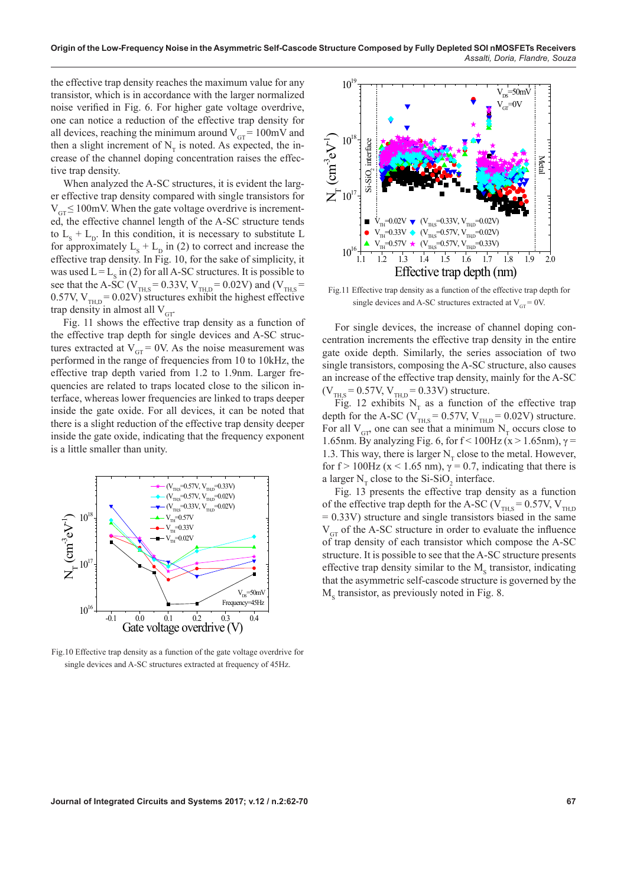the effective trap density reaches the maximum value for any transistor, which is in accordance with the larger normalized noise verified in Fig. 6. For higher gate voltage overdrive, one can notice a reduction of the effective trap density for all devices, reaching the minimum around  $V_{GT} = 100 \text{mV}$  and then a slight increment of  $N<sub>T</sub>$  is noted. As expected, the increase of the channel doping concentration raises the effective trap density.

When analyzed the A-SC structures, it is evident the larger effective trap density compared with single transistors for  $V_{\text{GT}} \leq 100$ mV. When the gate voltage overdrive is incremented, the effective channel length of the A-SC structure tends to  $L_s + L_p$ . In this condition, it is necessary to substitute L for approximately  $L_s + L_p$  in (2) to correct and increase the effective trap density. In Fig. 10, for the sake of simplicity, it was used  $L = L_s$  in (2) for all A-SC structures. It is possible to see that the A-SC ( $V_{TH, S} = 0.33 V, V_{TH, D} = 0.02 V$ ) and ( $V_{TH, S} =$ 0.57V,  $V_{TH,D} = 0.02V$ ) structures exhibit the highest effective trap density in almost all  $V<sub>GT</sub>$ .

Fig. 11 shows the effective trap density as a function of the effective trap depth for single devices and A-SC structures extracted at  $V_{GT} = 0V$ . As the noise measurement was performed in the range of frequencies from 10 to 10kHz, the effective trap depth varied from 1.2 to 1.9nm. Larger frequencies are related to traps located close to the silicon interface, whereas lower frequencies are linked to traps deeper inside the gate oxide. For all devices, it can be noted that there is a slight reduction of the effective trap density deeper inside the gate oxide, indicating that the frequency exponent is a little smaller than unity.



Fig.10 Effective trap density as a function of the gate voltage overdrive for single devices and A-SC structures extracted at frequency of 45Hz.



Fig.11 Effective trap density as a function of the effective trap depth for single devices and A-SC structures extracted at  $V_{GT} = 0V$ .

For single devices, the increase of channel doping concentration increments the effective trap density in the entire gate oxide depth. Similarly, the series association of two single transistors, composing the A-SC structure, also causes an increase of the effective trap density, mainly for the A-SC  $(V_{THS} = 0.57V, V_{THD} = 0.33V)$  structure.

Fig. 12 exhibits  $N_T$  as a function of the effective trap depth for the A-SC ( $V_{TH,S} = 0.57V$ ,  $V_{TH,D} = 0.02V$ ) structure. For all  $V_{GT}$  one can see that a minimum  $N_T$  occurs close to 1.65nm. By analyzing Fig. 6, for  $f < 100$ Hz (x > 1.65nm),  $\gamma$  = 1.3. This way, there is larger  $N<sub>r</sub>$  close to the metal. However, for f > 100Hz ( $x$  < 1.65 nm),  $\gamma$  = 0.7, indicating that there is a larger  $N_T$  close to the Si-SiO<sub>2</sub> interface.

Fig. 13 presents the effective trap density as a function of the effective trap depth for the A-SC ( $V_{\text{THS}} = 0.57V, V_{\text{THD}}$  $= 0.33V$ ) structure and single transistors biased in the same  $V_{\text{GT}}$  of the A-SC structure in order to evaluate the influence of trap density of each transistor which compose the A-SC structure. It is possible to see that the A-SC structure presents effective trap density similar to the  $M_s$  transistor, indicating that the asymmetric self-cascode structure is governed by the  $M<sub>s</sub>$  transistor, as previously noted in Fig. 8.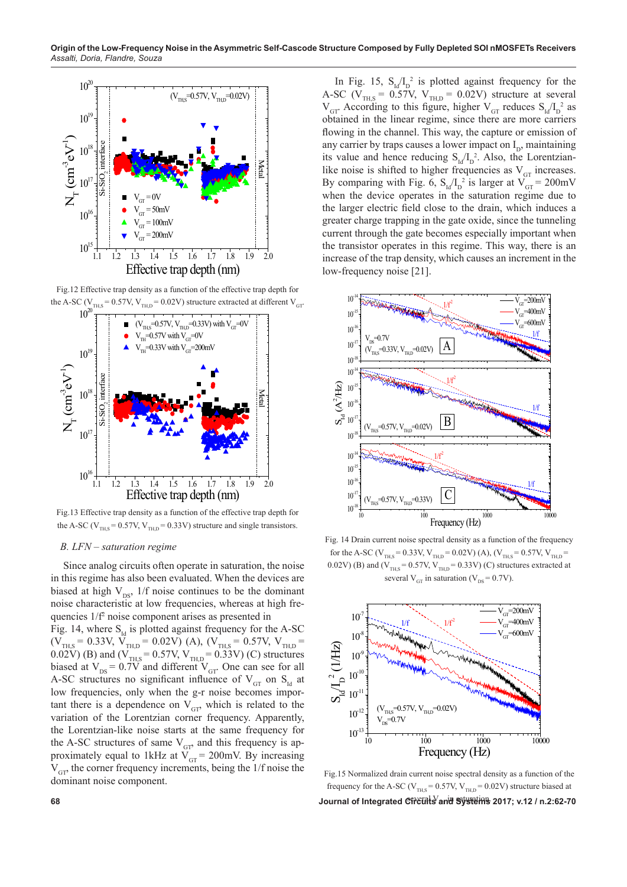

Fig.12 Effective trap density as a function of the effective trap depth for the A-SC ( $V_{TH,S} = 0.57V$ ,  $V_{TH,D} = 0.02V$ ) structure extracted at different  $V_{GT}$ .



Fig.13 Effective trap density as a function of the effective trap depth for the A-SC ( $V_{\text{THS}}$  = 0.57V,  $V_{\text{THD}}$  = 0.33V) structure and single transistors.

## *B. LFN – saturation regime*

Since analog circuits often operate in saturation, the noise in this regime has also been evaluated. When the devices are biased at high  $V_{DS}$ , 1/f noise continues to be the dominant noise characteristic at low frequencies, whereas at high frequencies 1/f2 noise component arises as presented in

Fig. 14, where  $S<sub>td</sub>$  is plotted against frequency for the A-SC  $(V_{TH,S} = 0.33V, V_{TH,D} = 0.02V)$  (A),  $(V_{TH,S} = 0.57V, V_{TH,D} =$ 0.02V) (B) and ( $V_{TH, S} = 0.57V, V_{TH, D} = 0.33V$ ) (C) structures biased at  $V_{DS} = 0.7V$  and different  $V_{GT}$ . One can see for all A-SC structures no significant influence of  $V_{GT}$  on  $S_{Id}$  at low frequencies, only when the g-r noise becomes important there is a dependence on  $V_{GP}$ , which is related to the variation of the Lorentzian corner frequency. Apparently, the Lorentzian-like noise starts at the same frequency for the A-SC structures of same  $V_{GT}$  and this frequency is approximately equal to 1kHz at  $V_{GT} = 200$ mV. By increasing  $V_{\text{cr}}$ , the corner frequency increments, being the 1/f noise the dominant noise component.

In Fig. 15,  $S_{\text{Id}}/I_D^2$  is plotted against frequency for the A-SC ( $V_{TH, S} = 0.57V$ ,  $V_{TH, D} = 0.02V$ ) structure at several  $V_{GT}$  According to this figure, higher  $V_{GT}$  reduces  $S_{Id}/I_D^2$  as obtained in the linear regime, since there are more carriers flowing in the channel. This way, the capture or emission of any carrier by traps causes a lower impact on  $I_{D}$ , maintaining its value and hence reducing  $S_{\rm Id}/I_{\rm D}^2$ . Also, the Lorentzianlike noise is shifted to higher frequencies as  $V_{GT}$  increases. By comparing with Fig. 6,  $S_{\text{Id}}/I_{\text{D}}^2$  is larger at  $V_{\text{GT}} = 200 \text{mV}$ when the device operates in the saturation regime due to the larger electric field close to the drain, which induces a greater charge trapping in the gate oxide, since the tunneling current through the gate becomes especially important when the transistor operates in this regime. This way, there is an increase of the trap density, which causes an increment in the low-frequency noise [21].



Fig. 14 Drain current noise spectral density as a function of the frequency for the A-SC ( $V_{TH,S} = 0.33 V, V_{TH,D} = 0.02 V$ ) (A), ( $V_{TH,S} = 0.57 V, V_{TH,D} = 0.02 V$ 0.02V) (B) and ( $V_{\text{TH,S}}$  = 0.57V,  $V_{\text{TH,D}}$  = 0.33V) (C) structures extracted at several  $V_{GT}$  in saturation ( $V_{DS} = 0.7V$ ).



ournal of Integrated C<del>îrcials and Systems</del> 2017; v.12 / n.2:62-70 ماد Journal of Integrated C<del>îrcials and Systems</del> 2017; v.12 / n.2:62-70 Fig.15 Normalized drain current noise spectral density as a function of the frequency for the A-SC ( $V_{TH,S} = 0.57V$ ,  $V_{TH,D} = 0.02V$ ) structure biased at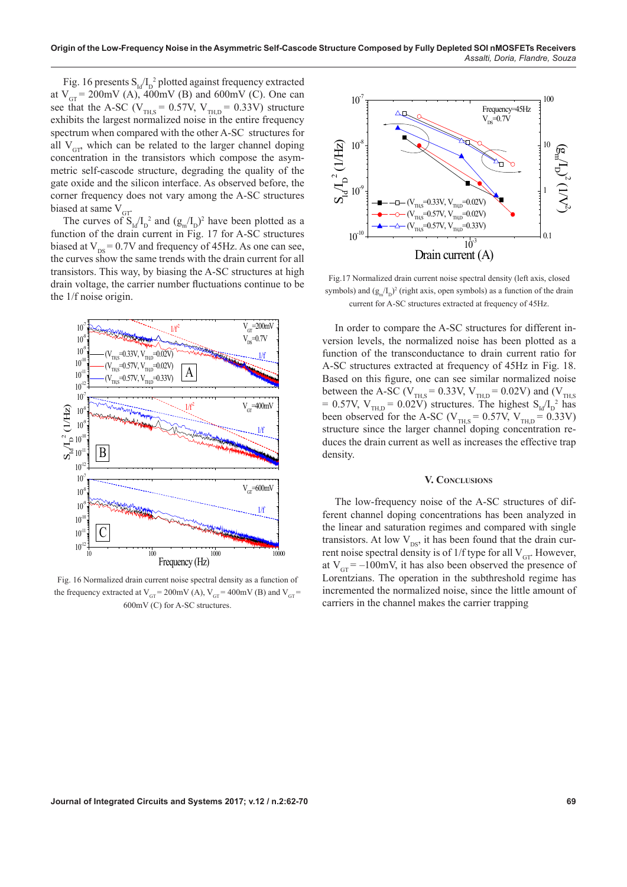Fig. 16 presents  $S<sub>ld</sub> / I<sub>D</sub>$ <sup>2</sup> plotted against frequency extracted at  $V_{GT}$  = 200mV (A), 400mV (B) and 600mV (C). One can see that the A-SC ( $V_{THS}$  = 0.57V,  $V_{THD}$  = 0.33V) structure exhibits the largest normalized noise in the entire frequency spectrum when compared with the other A-SC structures for all  $V_{CD}$  which can be related to the larger channel doping concentration in the transistors which compose the asymmetric self-cascode structure, degrading the quality of the gate oxide and the silicon interface. As observed before, the corner frequency does not vary among the A-SC structures biased at same  $V<sub>GT</sub>$ .

The curves of  $S_{1d}/I_D^2$  and  $(g_m/I_D)^2$  have been plotted as a function of the drain current in Fig. 17 for A-SC structures biased at  $V_{DS} = 0.7V$  and frequency of 45Hz. As one can see, the curves show the same trends with the drain current for all transistors. This way, by biasing the A-SC structures at high drain voltage, the carrier number fluctuations continue to be the 1/f noise origin.



Fig. 16 Normalized drain current noise spectral density as a function of the frequency extracted at  $V_{GT} = 200 \text{mV (A)}, V_{GT} = 400 \text{mV (B)}$  and  $V_{GT} =$ 600mV (C) for A-SC structures.



Fig.17 Normalized drain current noise spectral density (left axis, closed symbols) and  $(g_m/I_p)^2$  (right axis, open symbols) as a function of the drain current for A-SC structures extracted at frequency of 45Hz.

In order to compare the A-SC structures for different inversion levels, the normalized noise has been plotted as a function of the transconductance to drain current ratio for A-SC structures extracted at frequency of 45Hz in Fig. 18. Based on this figure, one can see similar normalized noise between the A-SC ( $V_{TH,S} = 0.33V$ ,  $V_{TH,D} = 0.02V$ ) and ( $V_{TH,S}$ = 0.57V,  $V_{TH,D}$  = 0.02V) structures. The highest  $S_{Id}/I_D^2$  has been observed for the A-SC ( $V_{\text{THS}}$  = 0.57V,  $V_{\text{THD}}$  = 0.33V) structure since the larger channel doping concentration reduces the drain current as well as increases the effective trap density.

# **V. Conclusions**

The low-frequency noise of the A-SC structures of different channel doping concentrations has been analyzed in the linear and saturation regimes and compared with single transistors. At low  $V_{DS}$ , it has been found that the drain current noise spectral density is of  $1/f$  type for all  $V_{GT}$ . However, at  $V_{\text{GT}} = -100$ mV, it has also been observed the presence of Lorentzians. The operation in the subthreshold regime has incremented the normalized noise, since the little amount of carriers in the channel makes the carrier trapping